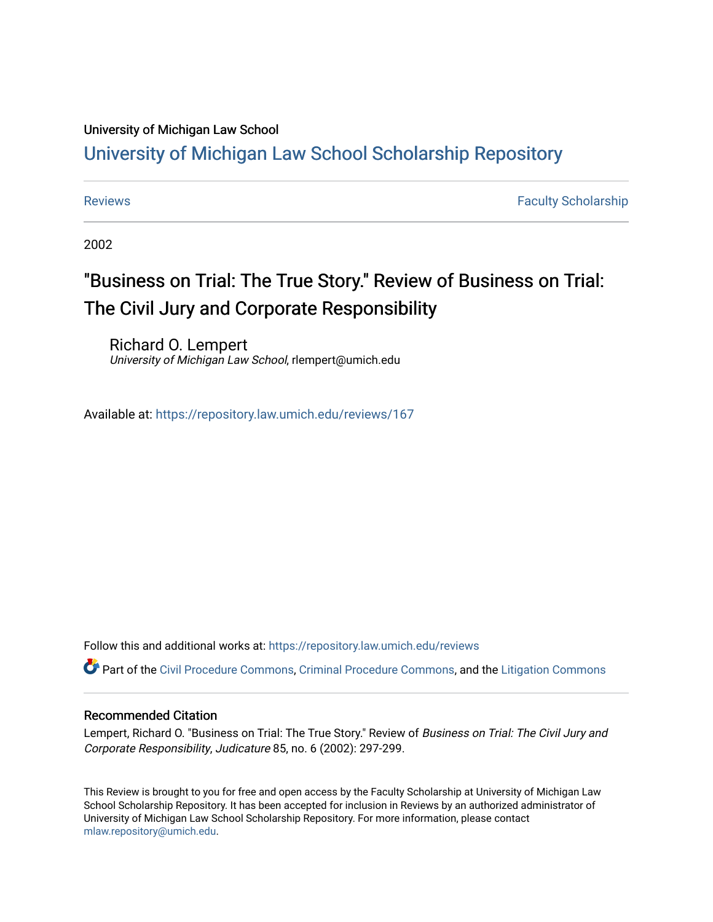## University of Michigan Law School

## [University of Michigan Law School Scholarship Repository](https://repository.law.umich.edu/)

[Reviews](https://repository.law.umich.edu/reviews) **Faculty Scholarship Faculty Scholarship Faculty Scholarship** 

2002

# "Business on Trial: The True Story." Review of Business on Trial: The Civil Jury and Corporate Responsibility

Richard O. Lempert University of Michigan Law School, rlempert@umich.edu

Available at: <https://repository.law.umich.edu/reviews/167>

Follow this and additional works at: [https://repository.law.umich.edu/reviews](https://repository.law.umich.edu/reviews?utm_source=repository.law.umich.edu%2Freviews%2F167&utm_medium=PDF&utm_campaign=PDFCoverPages) 

Part of the [Civil Procedure Commons,](http://network.bepress.com/hgg/discipline/584?utm_source=repository.law.umich.edu%2Freviews%2F167&utm_medium=PDF&utm_campaign=PDFCoverPages) [Criminal Procedure Commons](http://network.bepress.com/hgg/discipline/1073?utm_source=repository.law.umich.edu%2Freviews%2F167&utm_medium=PDF&utm_campaign=PDFCoverPages), and the [Litigation Commons](http://network.bepress.com/hgg/discipline/910?utm_source=repository.law.umich.edu%2Freviews%2F167&utm_medium=PDF&utm_campaign=PDFCoverPages) 

### Recommended Citation

Lempert, Richard O. "Business on Trial: The True Story." Review of Business on Trial: The Civil Jury and Corporate Responsibility, Judicature 85, no. 6 (2002): 297-299.

This Review is brought to you for free and open access by the Faculty Scholarship at University of Michigan Law School Scholarship Repository. It has been accepted for inclusion in Reviews by an authorized administrator of University of Michigan Law School Scholarship Repository. For more information, please contact [mlaw.repository@umich.edu.](mailto:mlaw.repository@umich.edu)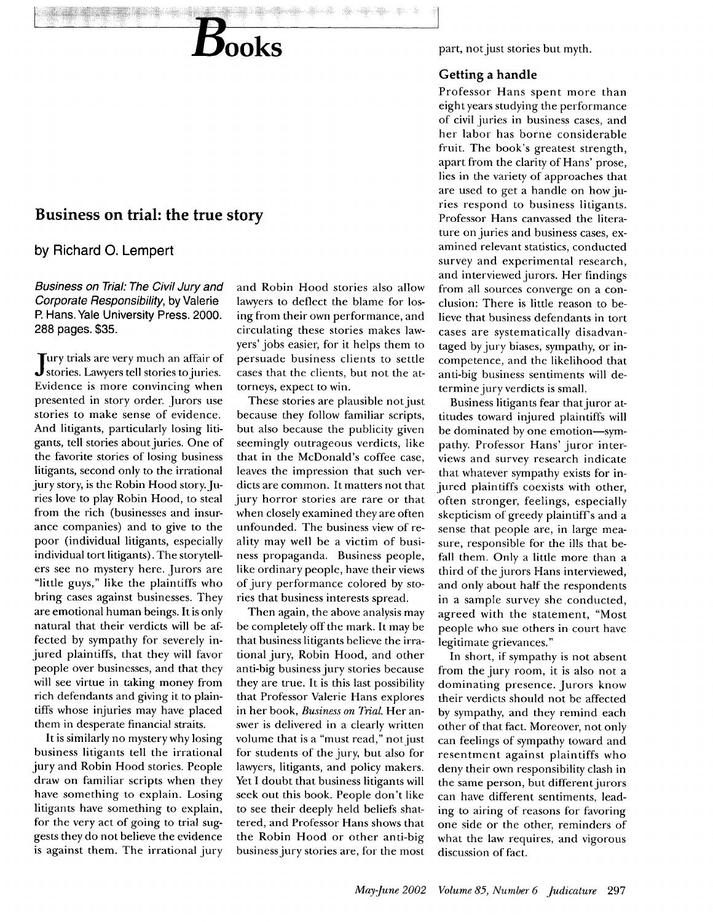

## **Business on trial: the true story**

**by** Richard **0.** Lempert

Business on Trial: The Civil Jury and Corporate Responsibility, **by** Valerie P. Hans. Yale University Press. 2000. **288** pages. **\$35.**

**J** ury trials are very much an affair of stories. Lawyers tell stories to juries. Evidence is more convincing when presented in story order. Jurors use stories to make sense of evidence. And litigants, particularly losing litigants, tell stories about juries. One of the favorite stories of losing business litigants, second only to the irrational jury story, is the Robin Hood story. Juries love to play Robin Hood, to steal from the rich (businesses and insurance companies) and to give to the poor (individual litigants, especially individual tort litigants). The storytellers see no mystery here. Jurors are "little guys," like the plaintiffs who bring cases against businesses. They are emotional human beings. It is only natural that their verdicts will be affected by sympathy for severely injured plaintiffs, that they will favor people over businesses, and that they will see virtue in taking money from rich defendants and giving it to plaintiffs whose injuries may have placed them in desperate financial straits.

It is similarly no mystery why losing business litigants tell the irrational jury and Robin Hood stories. People draw on familiar scripts when they have something to explain. Losing litigants have something to explain, for the very act of going to trial suggests they do not believe the evidence is against them. The irrational jury and Robin Hood stories also allow lawyers to deflect the blame for losing from their own performance, and circulating these stories makes lawyers' jobs easier, for it helps them to persuade business clients to settle cases that the clients, but not the attorneys, expect to win.

These stories are plausible not just because they follow familiar scripts, but also because the publicity given seemingly outrageous verdicts, like that in the McDonald's coffee case, leaves the impression that such verdicts are common. It matters not that jury horror stories are rare or that when closely examined they are often unfounded. The business view of reality may well be a victim of business propaganda. Business people, like ordinary people, have their views of jury performance colored by stories that business interests spread.

Then again, the above analysis may be completely off the mark. It may be that business litigants believe the irrational jury, Robin Hood, and other anti-big business jury stories because they are true. It is this last possibility that Professor Valerie Hans explores in her book, *Business on Trial.* Her answer is delivered in a clearly written volume that is a "must read," not just for students of the jury, but also for lawyers, litigants, and policy makers. Yet I doubt that business litigants will seek out this book. People don't like to see their deeply held beliefs shattered, and Professor Hans shows that the Robin Hood or other anti-big business jury stories are, for the most part, not just stories but myth.

## **Getting a handle**

-J

Professor Hans spent more than eight years studying the performance of civil juries in business cases, and her labor has borne considerable fruit. The book's greatest strength, apart from the clarity of Hans' prose, lies in the variety of approaches that are used to get a handle on how juries respond to business litigants. Professor Hans canvassed the literature on juries and business cases, examined relevant statistics, conducted survey and experimental research, and interviewed jurors. Her findings from all sources converge on a conclusion: There is little reason to believe that business defendants in tort cases are systematically disadvantaged by jury biases, sympathy, or incompetence, and the likelihood that anti-big business sentiments will determine jury verdicts is small.

Business litigants fear that juror attitudes toward injured plaintiffs will be dominated by one emotion-sympathy. Professor Hans' juror interviews and survey research indicate that whatever sympathy exists for injured plaintiffs coexists with other, often stronger, feelings, especially skepticism of greedy plaintiff's and a sense that people are, in large measure, responsible for the ills that befall them. Only a little more than a third of the jurors Hans interviewed, and only about half the respondents in a sample survey she conducted, agreed with the statement, "Most people who sue others in court have legitimate grievances."

In short, if sympathy is not absent from the jury room, it is also not a dominating presence. Jurors know their verdicts should not be affected by sympathy, and they remind each other of that fact. Moreover, not only can feelings of sympathy toward and resentment against plaintiffs who deny their own responsibility clash in the same person, but different jurors can have different sentiments, leading to airing of reasons for favoring one side or the other, reminders of what the law requires, and vigorous discussion of fact.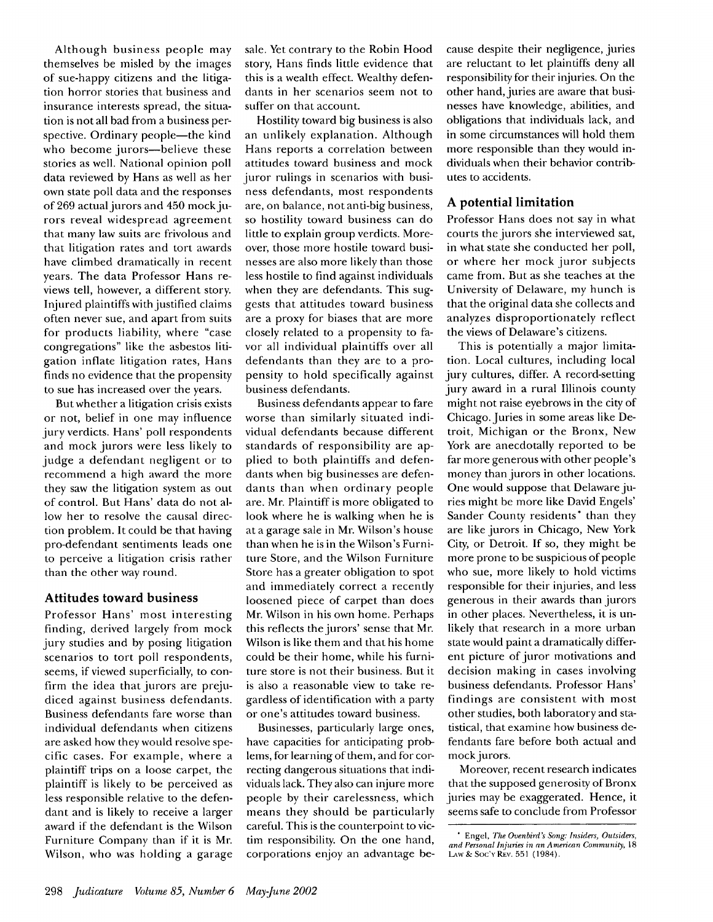Although business people may themselves be misled by the images of sue-happy citizens and the litigation horror stories that business and insurance interests spread, the situation is not all bad from a business perspective. Ordinary people—the kind who become jurors-believe these stories as well. National opinion poll data reviewed by Hans as well as her own state poll data and the responses of 269 actual jurors and 450 mock jurors reveal widespread agreement that many law suits are frivolous and that litigation rates and tort awards have climbed dramatically in recent years. The data Professor Hans reviews tell, however, a different story. Injured plaintiffs with justified claims often never sue, and apart from suits for products liability, where "case congregations" like the asbestos litigation inflate litigation rates, Hans finds no evidence that the propensity to sue has increased over the years.

But whether a litigation crisis exists or not, belief in one may influence jury verdicts. Hans' poll respondents and mock jurors were less likely to judge a defendant negligent or to recommend a high award the more they saw the litigation system as out of control. But Hans' data do not allow her to resolve the causal direction problem. It could be that having pro-defendant sentiments leads one to perceive a litigation crisis rather than the other way round.

## **Attitudes toward business**

Professor Hans' most interesting finding, derived largely from mock jury studies and by posing litigation scenarios to tort poll respondents, seems, if viewed superficially, to confirm the idea that jurors are prejudiced against business defendants. Business defendants fare worse than individual defendants when citizens are asked how they would resolve specific cases. For example, where a plaintiff trips on a loose carpet, the plaintiff is likely to be perceived as less responsible relative to the defendant and is likely to receive a larger award if the defendant is the Wilson Furniture Company than if it is Mr. Wilson, who was holding a garage sale. Yet contrary to the Robin Hood story, Hans finds little evidence that this is a wealth effect. Wealthy defendants in her scenarios seem not to suffer on that account.

Hostility toward big business is also an unlikely explanation. Although Hans reports a correlation between attitudes toward business and mock juror rulings in scenarios with business defendants, most respondents are, on balance, not anti-big business, so hostility toward business can do little to explain group verdicts. Moreover, those more hostile toward businesses are also more likely than those less hostile to find against individuals when they are defendants. This suggests that attitudes toward business are a proxy for biases that are more closely related to a propensity to favor all individual plaintiffs over all defendants than they are to a propensity to hold specifically against business defendants.

Business defendants appear to fare worse than similarly situated individual defendants because different standards of responsibility are applied to both plaintiffs and defendants when big businesses are defendants than when ordinary people are. Mr. Plaintiff is more obligated to look where he is walking when he is at a garage sale in Mr. Wilson's house than when he is in the Wilson's Furniture Store, and the Wilson Furniture Store has a greater obligation to spot and immediately correct a recently loosened piece of carpet than does Mr. Wilson in his own home. Perhaps this reflects the jurors' sense that Mr. Wilson is like them and that his home could be their home, while his furniture store is not their business. But it is also a reasonable view to take regardless of identification with a party or one's attitudes toward business.

Businesses, particularly large ones, have capacities for anticipating problerns, for learning of them, and for correcting dangerous situations that individuals lack. They also can injure more people by their carelessness, which means they should be particularly careful. This is the counterpoint to victim responsibility. On the one hand, corporations enjoy an advantage because despite their negligence, juries are reluctant to let plaintiffs deny all responsibility for their injuries. On the other hand, juries are aware that businesses have knowledge, abilities, and obligations that individuals lack, and in some circumstances will hold them more responsible than they would individuals when their behavior contributes to accidents.

## **A potential limitation**

Professor Hans does not say in what courts the jurors she interviewed sat, in what state she conducted her poll, or where her mock juror subjects came from. But as she teaches at the University of Delaware, my hunch is that the original data she collects and analyzes disproportionately reflect the views of Delaware's citizens.

This is potentially a major limitation. Local cultures, including local jury cultures, differ. A record-setting jury award in a rural Illinois county might not raise eyebrows in the city of Chicago. Juries in some areas like Detroit, Michigan or the Bronx, New York are anecdotally reported to be far more generous with other people's money than jurors in other locations. One would suppose that Delaware juries might be more like David Engels' Sander County residents\* than they are like jurors in Chicago, New York City, or Detroit. If so, they might be more prone to be suspicious of people who sue, more likely to hold victims responsible for their injuries, and less generous in their awards than jurors in other places. Nevertheless, it is unlikely that research in a more urban state would paint a dramatically different picture of juror motivations and decision making in cases involving business defendants. Professor Hans' findings are consistent with most other studies, both laboratory and statistical, that examine how business defendants fare before both actual and mock jurors.

Moreover, recent research indicates that the supposed generosity of Bronx juries may be exaggerated. Hence, it seems safe to conclude from Professor

**<sup>\*</sup>** Engel, *The Ovenbird's Song: Insiders, Outsiders, and* Personal Injuries in *an American Community,* 18 LAW & Soc'y Rev. 551 (1984).